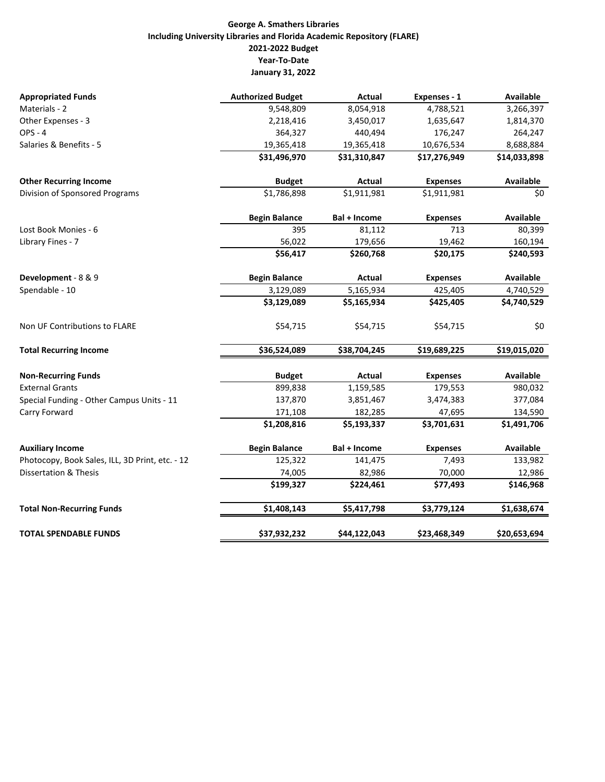## **George A. Smathers Libraries Including University Libraries and Florida Academic Repository (FLARE) 2021‐2022 Budget Year‐To‐Date January 31, 2022**

| <b>Appropriated Funds</b>                       | <b>Authorized Budget</b> | Actual              | Expenses - 1    | <b>Available</b> |
|-------------------------------------------------|--------------------------|---------------------|-----------------|------------------|
| Materials - 2                                   | 9,548,809                | 8,054,918           | 4,788,521       | 3,266,397        |
| Other Expenses - 3                              | 2,218,416                | 3,450,017           | 1,635,647       | 1,814,370        |
| <b>OPS - 4</b>                                  | 364,327                  | 440,494             | 176,247         | 264,247          |
| Salaries & Benefits - 5                         | 19,365,418               | 19,365,418          | 10,676,534      | 8,688,884        |
|                                                 | \$31,496,970             | \$31,310,847        | \$17,276,949    | \$14,033,898     |
| <b>Other Recurring Income</b>                   | <b>Budget</b>            | Actual              | <b>Expenses</b> | Available        |
| Division of Sponsored Programs                  | \$1,786,898              | \$1,911,981         | \$1,911,981     | \$0              |
|                                                 | <b>Begin Balance</b>     | Bal + Income        | <b>Expenses</b> | Available        |
| Lost Book Monies - 6                            | 395                      | 81,112              | 713             | 80,399           |
| Library Fines - 7                               | 56,022                   | 179,656             | 19,462          | 160,194          |
|                                                 | \$56,417                 | \$260,768           | \$20,175        | \$240,593        |
| Development - 8 & 9                             | <b>Begin Balance</b>     | Actual              | <b>Expenses</b> | <b>Available</b> |
| Spendable - 10                                  | 3,129,089                | 5,165,934           | 425,405         | 4,740,529        |
|                                                 | \$3,129,089              | \$5,165,934         | \$425,405       | \$4,740,529      |
| Non UF Contributions to FLARE                   | \$54,715                 | \$54,715            | \$54,715        | \$0              |
| <b>Total Recurring Income</b>                   | \$36,524,089             | \$38,704,245        | \$19,689,225    | \$19,015,020     |
| <b>Non-Recurring Funds</b>                      | <b>Budget</b>            | Actual              | <b>Expenses</b> | <b>Available</b> |
| <b>External Grants</b>                          | 899,838                  | 1,159,585           | 179,553         | 980,032          |
| Special Funding - Other Campus Units - 11       | 137,870                  | 3,851,467           | 3,474,383       | 377,084          |
| Carry Forward                                   | 171,108                  | 182,285             | 47,695          | 134,590          |
|                                                 | \$1,208,816              | \$5,193,337         | \$3,701,631     | \$1,491,706      |
| <b>Auxiliary Income</b>                         | <b>Begin Balance</b>     | <b>Bal + Income</b> | <b>Expenses</b> | Available        |
| Photocopy, Book Sales, ILL, 3D Print, etc. - 12 | 125,322                  | 141,475             | 7,493           | 133,982          |
| <b>Dissertation &amp; Thesis</b>                | 74,005                   | 82,986              | 70,000          | 12,986           |
|                                                 | \$199,327                | \$224,461           | \$77,493        | \$146,968        |
| <b>Total Non-Recurring Funds</b>                | \$1,408,143              | \$5,417,798         | \$3,779,124     | \$1,638,674      |
| <b>TOTAL SPENDABLE FUNDS</b>                    | \$37,932,232             | \$44,122,043        | \$23,468,349    | \$20,653,694     |